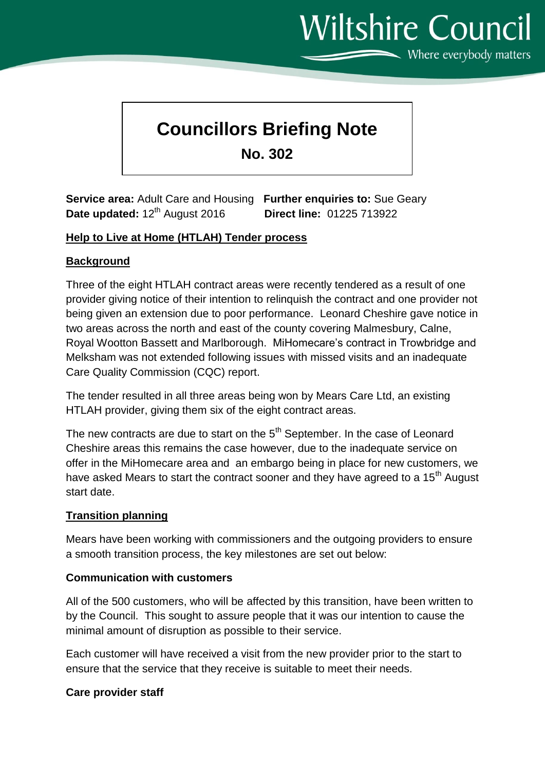# **Wiltshire Council**

Where everybody matters

# **Councillors Briefing Note**

**No. 302**

**Service area:** Adult Care and Housing **Further enquiries to:** Sue Geary **Date updated:** 12th August 2016 **Direct line:** 01225 713922

#### **Help to Live at Home (HTLAH) Tender process**

# **Background**

Three of the eight HTLAH contract areas were recently tendered as a result of one provider giving notice of their intention to relinquish the contract and one provider not being given an extension due to poor performance. Leonard Cheshire gave notice in two areas across the north and east of the county covering Malmesbury, Calne, Royal Wootton Bassett and Marlborough. MiHomecare's contract in Trowbridge and Melksham was not extended following issues with missed visits and an inadequate Care Quality Commission (CQC) report.

The tender resulted in all three areas being won by Mears Care Ltd, an existing HTLAH provider, giving them six of the eight contract areas.

The new contracts are due to start on the 5<sup>th</sup> September. In the case of Leonard Cheshire areas this remains the case however, due to the inadequate service on offer in the MiHomecare area and an embargo being in place for new customers, we have asked Mears to start the contract sooner and they have agreed to a 15<sup>th</sup> August start date.

#### **Transition planning**

Mears have been working with commissioners and the outgoing providers to ensure a smooth transition process, the key milestones are set out below:

#### **Communication with customers**

All of the 500 customers, who will be affected by this transition, have been written to by the Council. This sought to assure people that it was our intention to cause the minimal amount of disruption as possible to their service.

Each customer will have received a visit from the new provider prior to the start to ensure that the service that they receive is suitable to meet their needs.

#### **Care provider staff**